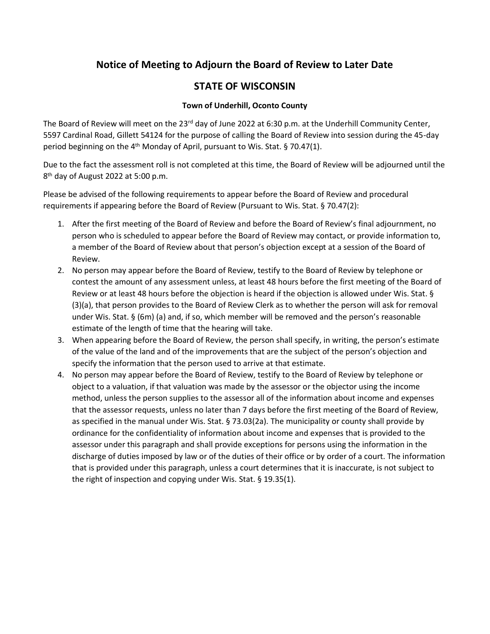## **Notice of Meeting to Adjourn the Board of Review to Later Date**

## **STATE OF WISCONSIN**

## **Town of Underhill, Oconto County**

The Board of Review will meet on the 23<sup>rd</sup> day of June 2022 at 6:30 p.m. at the Underhill Community Center, 5597 Cardinal Road, Gillett 54124 for the purpose of calling the Board of Review into session during the 45-day period beginning on the 4<sup>th</sup> Monday of April, pursuant to Wis. Stat. § 70.47(1).

Due to the fact the assessment roll is not completed at this time, the Board of Review will be adjourned until the 8<sup>th</sup> day of August 2022 at 5:00 p.m.

Please be advised of the following requirements to appear before the Board of Review and procedural requirements if appearing before the Board of Review (Pursuant to Wis. Stat. § 70.47(2):

- 1. After the first meeting of the Board of Review and before the Board of Review's final adjournment, no person who is scheduled to appear before the Board of Review may contact, or provide information to, a member of the Board of Review about that person's objection except at a session of the Board of Review.
- 2. No person may appear before the Board of Review, testify to the Board of Review by telephone or contest the amount of any assessment unless, at least 48 hours before the first meeting of the Board of Review or at least 48 hours before the objection is heard if the objection is allowed under Wis. Stat. § (3)(a), that person provides to the Board of Review Clerk as to whether the person will ask for removal under Wis. Stat. § (6m) (a) and, if so, which member will be removed and the person's reasonable estimate of the length of time that the hearing will take.
- 3. When appearing before the Board of Review, the person shall specify, in writing, the person's estimate of the value of the land and of the improvements that are the subject of the person's objection and specify the information that the person used to arrive at that estimate.
- 4. No person may appear before the Board of Review, testify to the Board of Review by telephone or object to a valuation, if that valuation was made by the assessor or the objector using the income method, unless the person supplies to the assessor all of the information about income and expenses that the assessor requests, unless no later than 7 days before the first meeting of the Board of Review, as specified in the manual under Wis. Stat. § 73.03(2a). The municipality or county shall provide by ordinance for the confidentiality of information about income and expenses that is provided to the assessor under this paragraph and shall provide exceptions for persons using the information in the discharge of duties imposed by law or of the duties of their office or by order of a court. The information that is provided under this paragraph, unless a court determines that it is inaccurate, is not subject to the right of inspection and copying under Wis. Stat. § 19.35(1).